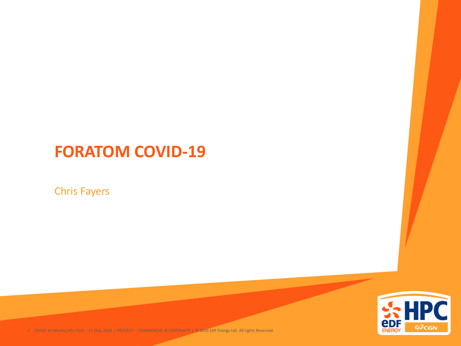#### **FORATOM COVID-19**

Chris Fayers



1 COVID 19 Weekly Info Pack – 21 May 2020 | PROTECT – COMMERCIAL & CONTRACTS | © 2019 EDF Energy Ltd. All rights Reserved.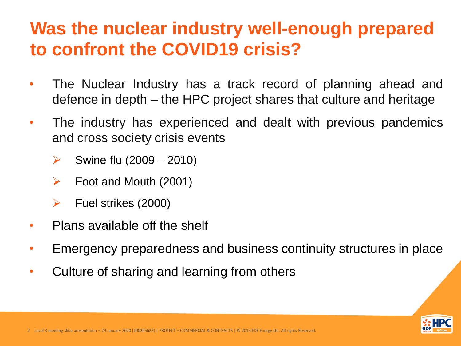## **Was the nuclear industry well-enough prepared to confront the COVID19 crisis?**

- The Nuclear Industry has a track record of planning ahead and defence in depth – the HPC project shares that culture and heritage
- The industry has experienced and dealt with previous pandemics and cross society crisis events
	- ➢ Swine flu (2009 2010)
	- Foot and Mouth (2001)
	- ➢ Fuel strikes (2000)
- Plans available off the shelf
- Emergency preparedness and business continuity structures in place
- Culture of sharing and learning from others

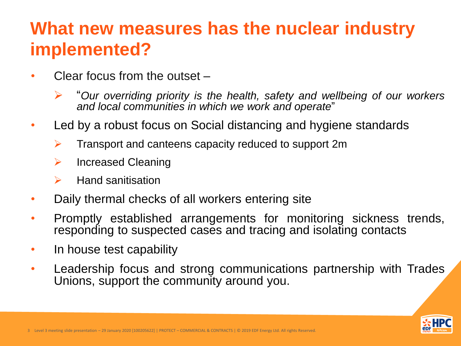## **What new measures has the nuclear industry implemented?**

- Clear focus from the outset
	- ➢ "*Our overriding priority is the health, safety and wellbeing of our workers and local communities in which we work and operate*"
- Led by a robust focus on Social distancing and hygiene standards
	- ➢ Transport and canteens capacity reduced to support 2m
	- ➢ Increased Cleaning
	- ➢ Hand sanitisation
- Daily thermal checks of all workers entering site
- Promptly established arrangements for monitoring sickness trends, responding to suspected cases and tracing and isolating contacts
- In house test capability
- Leadership focus and strong communications partnership with Trades Unions, support the community around you.

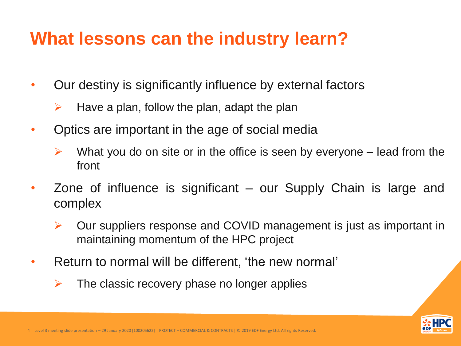## **What lessons can the industry learn?**

- Our destiny is significantly influence by external factors
	- Have a plan, follow the plan, adapt the plan
- Optics are important in the age of social media
	- What you do on site or in the office is seen by everyone lead from the front
- Zone of influence is significant our Supply Chain is large and complex
	- ➢ Our suppliers response and COVID management is just as important in maintaining momentum of the HPC project
- Return to normal will be different, 'the new normal'
	- The classic recovery phase no longer applies